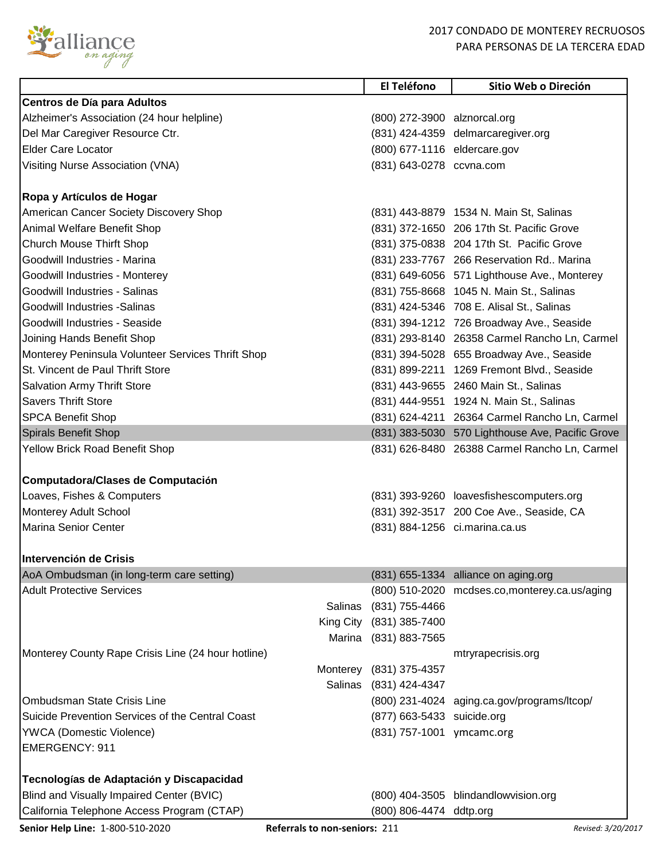

## 2017 CONDADO DE MONTEREY RECRUOSOS PARA PERSONAS DE LA TERCERA EDAD

|                                                                                         | El Teléfono                  | Sitio Web o Direción                             |
|-----------------------------------------------------------------------------------------|------------------------------|--------------------------------------------------|
| Centros de Día para Adultos                                                             |                              |                                                  |
| Alzheimer's Association (24 hour helpline)                                              | (800) 272-3900 alznorcal.org |                                                  |
| Del Mar Caregiver Resource Ctr.                                                         |                              | (831) 424-4359 delmarcaregiver.org               |
| <b>Elder Care Locator</b>                                                               | (800) 677-1116 eldercare.gov |                                                  |
| Visiting Nurse Association (VNA)                                                        | (831) 643-0278 ccvna.com     |                                                  |
|                                                                                         |                              |                                                  |
| Ropa y Artículos de Hogar                                                               |                              |                                                  |
| American Cancer Society Discovery Shop                                                  |                              | (831) 443-8879 1534 N. Main St, Salinas          |
| Animal Welfare Benefit Shop                                                             |                              | (831) 372-1650 206 17th St. Pacific Grove        |
| <b>Church Mouse Thirft Shop</b>                                                         |                              | (831) 375-0838 204 17th St. Pacific Grove        |
| Goodwill Industries - Marina                                                            |                              | (831) 233-7767 266 Reservation Rd., Marina       |
| Goodwill Industries - Monterey                                                          |                              | (831) 649-6056 571 Lighthouse Ave., Monterey     |
| Goodwill Industries - Salinas                                                           |                              | (831) 755-8668 1045 N. Main St., Salinas         |
| Goodwill Industries - Salinas                                                           |                              | (831) 424-5346 708 E. Alisal St., Salinas        |
| Goodwill Industries - Seaside                                                           |                              | (831) 394-1212 726 Broadway Ave., Seaside        |
| Joining Hands Benefit Shop                                                              |                              | (831) 293-8140 26358 Carmel Rancho Ln, Carmel    |
| Monterey Peninsula Volunteer Services Thrift Shop                                       |                              | (831) 394-5028 655 Broadway Ave., Seaside        |
| St. Vincent de Paul Thrift Store                                                        |                              | (831) 899-2211 1269 Fremont Blvd., Seaside       |
| <b>Salvation Army Thrift Store</b>                                                      |                              | (831) 443-9655 2460 Main St., Salinas            |
| <b>Savers Thrift Store</b>                                                              |                              | (831) 444-9551 1924 N. Main St., Salinas         |
| <b>SPCA Benefit Shop</b>                                                                |                              | (831) 624-4211 26364 Carmel Rancho Ln, Carmel    |
| Spirals Benefit Shop                                                                    |                              | (831) 383-5030 570 Lighthouse Ave, Pacific Grove |
| Yellow Brick Road Benefit Shop                                                          |                              | (831) 626-8480 26388 Carmel Rancho Ln, Carmel    |
|                                                                                         |                              |                                                  |
| Computadora/Clases de Computación                                                       |                              |                                                  |
| Loaves, Fishes & Computers                                                              |                              | (831) 393-9260 loavesfishescomputers.org         |
| <b>Monterey Adult School</b>                                                            |                              | (831) 392-3517 200 Coe Ave., Seaside, CA         |
| <b>Marina Senior Center</b>                                                             |                              | (831) 884-1256 ci.marina.ca.us                   |
|                                                                                         |                              |                                                  |
| IIntervención de Crisis                                                                 |                              |                                                  |
| AoA Ombudsman (in long-term care setting)                                               |                              | (831) 655-1334 alliance on aging.org             |
| <b>Adult Protective Services</b>                                                        |                              | (800) 510-2020 mcdses.co,monterey.ca.us/aging    |
|                                                                                         | Salinas<br>(831) 755-4466    |                                                  |
|                                                                                         | King City<br>(831) 385-7400  |                                                  |
|                                                                                         | (831) 883-7565<br>Marina     |                                                  |
| Monterey County Rape Crisis Line (24 hour hotline)                                      |                              | mtryrapecrisis.org                               |
|                                                                                         | Monterey (831) 375-4357      |                                                  |
|                                                                                         | Salinas<br>(831) 424-4347    |                                                  |
| <b>Ombudsman State Crisis Line</b>                                                      |                              | (800) 231-4024 aging.ca.gov/programs/ltcop/      |
| Suicide Prevention Services of the Central Coast                                        | (877) 663-5433 suicide.org   |                                                  |
| <b>YWCA</b> (Domestic Violence)                                                         | (831) 757-1001 ymcamc.org    |                                                  |
| <b>EMERGENCY: 911</b>                                                                   |                              |                                                  |
|                                                                                         |                              |                                                  |
|                                                                                         |                              |                                                  |
| Tecnologías de Adaptación y Discapacidad                                                |                              |                                                  |
|                                                                                         |                              | (800) 404-3505 blindandlowvision.org             |
| Blind and Visually Impaired Center (BVIC)<br>California Telephone Access Program (CTAP) | (800) 806-4474 ddtp.org      |                                                  |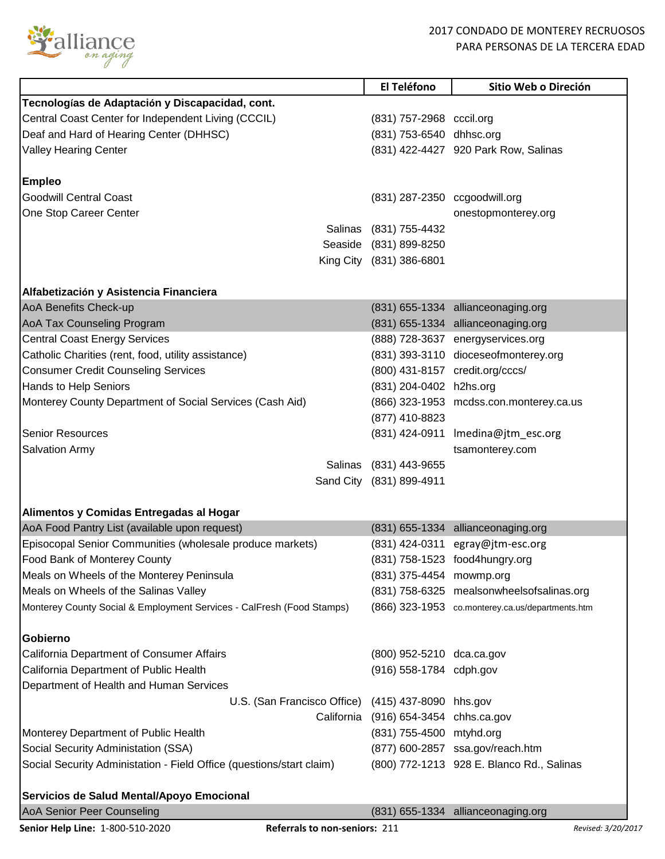

|                                                                       | El Teléfono                           | Sitio Web o Direción                             |
|-----------------------------------------------------------------------|---------------------------------------|--------------------------------------------------|
| Tecnologías de Adaptación y Discapacidad, cont.                       |                                       |                                                  |
| Central Coast Center for Independent Living (CCCIL)                   | (831) 757-2968 cccil.org              |                                                  |
| Deaf and Hard of Hearing Center (DHHSC)                               | (831) 753-6540 dhhsc.org              |                                                  |
| <b>Valley Hearing Center</b>                                          |                                       | (831) 422-4427 920 Park Row, Salinas             |
|                                                                       |                                       |                                                  |
| <b>Empleo</b>                                                         |                                       |                                                  |
| <b>Goodwill Central Coast</b>                                         | (831) 287-2350 ccgoodwill.org         |                                                  |
| One Stop Career Center                                                |                                       | onestopmonterey.org                              |
|                                                                       | Salinas (831) 755-4432                |                                                  |
|                                                                       | Seaside (831) 899-8250                |                                                  |
|                                                                       | King City (831) 386-6801              |                                                  |
|                                                                       |                                       |                                                  |
| Alfabetización y Asistencia Financiera                                |                                       |                                                  |
| AoA Benefits Check-up                                                 |                                       | (831) 655-1334 allianceonaging.org               |
| <b>AoA Tax Counseling Program</b>                                     |                                       | (831) 655-1334 allianceonaging.org               |
| <b>Central Coast Energy Services</b>                                  |                                       | (888) 728-3637 energyservices.org                |
| Catholic Charities (rent, food, utility assistance)                   |                                       | (831) 393-3110 dioceseofmonterey.org             |
| <b>Consumer Credit Counseling Services</b>                            |                                       | (800) 431-8157 credit.org/cccs/                  |
| Hands to Help Seniors                                                 | (831) 204-0402 h2hs.org               |                                                  |
| Monterey County Department of Social Services (Cash Aid)              |                                       | (866) 323-1953 mcdss.con.monterey.ca.us          |
|                                                                       | (877) 410-8823                        |                                                  |
| <b>Senior Resources</b>                                               |                                       | (831) 424-0911 Imedina@jtm_esc.org               |
| Salvation Army                                                        |                                       | tsamonterey.com                                  |
| Salinas                                                               | (831) 443-9655                        |                                                  |
|                                                                       | Sand City (831) 899-4911              |                                                  |
|                                                                       |                                       |                                                  |
| Alimentos y Comidas Entregadas al Hogar                               |                                       |                                                  |
| AoA Food Pantry List (available upon request)                         |                                       | (831) 655-1334 allianceonaging.org               |
| Episocopal Senior Communities (wholesale produce markets)             |                                       | (831) 424-0311 egray@jtm-esc.org                 |
| Food Bank of Monterey County                                          |                                       | (831) 758-1523 food4hungry.org                   |
| Meals on Wheels of the Monterey Peninsula                             | (831) 375-4454 mowmp.org              |                                                  |
| Meals on Wheels of the Salinas Valley                                 |                                       | (831) 758-6325 mealsonwheelsofsalinas.org        |
| Monterey County Social & Employment Services - CalFresh (Food Stamps) |                                       | (866) 323-1953 co.monterey.ca.us/departments.htm |
|                                                                       |                                       |                                                  |
| Gobierno                                                              |                                       |                                                  |
| California Department of Consumer Affairs                             | (800) 952-5210 dca.ca.gov             |                                                  |
| California Department of Public Health                                | (916) 558-1784 cdph.gov               |                                                  |
| Department of Health and Human Services                               |                                       |                                                  |
| U.S. (San Francisco Office) (415) 437-8090 hhs.gov                    |                                       |                                                  |
|                                                                       | California (916) 654-3454 chhs.ca.gov |                                                  |
| Monterey Department of Public Health                                  | (831) 755-4500 mtyhd.org              |                                                  |
| Social Security Administation (SSA)                                   |                                       | (877) 600-2857 ssa.gov/reach.htm                 |
| Social Security Administation - Field Office (questions/start claim)  |                                       | (800) 772-1213 928 E. Blanco Rd., Salinas        |
|                                                                       |                                       |                                                  |
| Servicios de Salud Mental/Apoyo Emocional                             |                                       |                                                  |
| AoA Senior Peer Counseling                                            |                                       | (831) 655-1334 allianceonaging.org               |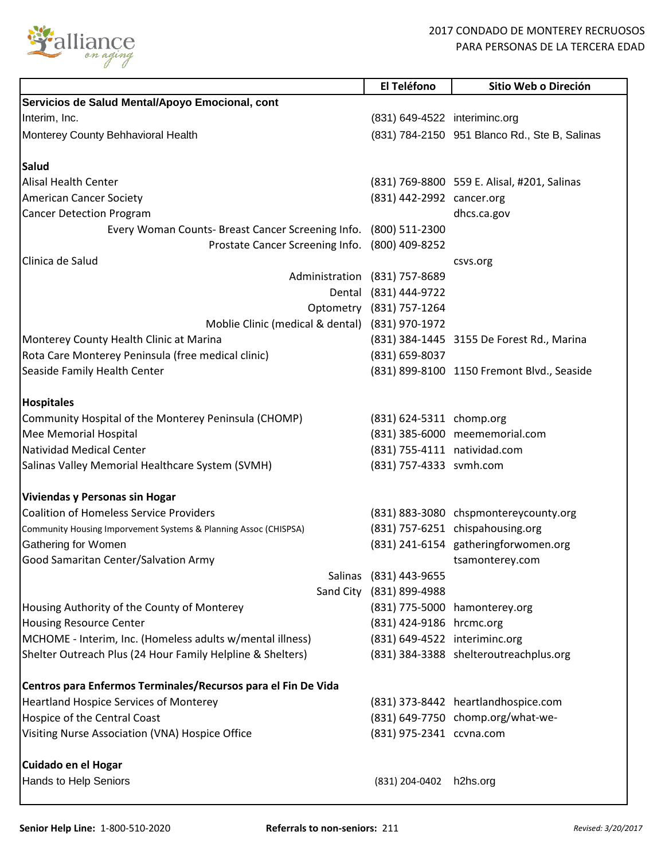

|                                                                  | El Teléfono                   | Sitio Web o Direción                                                     |
|------------------------------------------------------------------|-------------------------------|--------------------------------------------------------------------------|
| Servicios de Salud Mental/Apoyo Emocional, cont                  |                               |                                                                          |
| Interim, Inc.                                                    | (831) 649-4522 interiminc.org |                                                                          |
| Monterey County Behhavioral Health                               |                               | (831) 784-2150 951 Blanco Rd., Ste B, Salinas                            |
|                                                                  |                               |                                                                          |
| Salud<br>Alisal Health Center                                    |                               |                                                                          |
| <b>American Cancer Society</b>                                   | (831) 442-2992 cancer.org     | (831) 769-8800 559 E. Alisal, #201, Salinas                              |
| <b>Cancer Detection Program</b>                                  |                               | dhcs.ca.gov                                                              |
| Every Woman Counts- Breast Cancer Screening Info. (800) 511-2300 |                               |                                                                          |
| Prostate Cancer Screening Info. (800) 409-8252                   |                               |                                                                          |
| Clinica de Salud                                                 |                               | csvs.org                                                                 |
|                                                                  | Administration (831) 757-8689 |                                                                          |
|                                                                  | Dental (831) 444-9722         |                                                                          |
|                                                                  | Optometry (831) 757-1264      |                                                                          |
| Moblie Clinic (medical & dental) (831) 970-1972                  |                               |                                                                          |
| Monterey County Health Clinic at Marina                          |                               | (831) 384-1445 3155 De Forest Rd., Marina                                |
| Rota Care Monterey Peninsula (free medical clinic)               | (831) 659-8037                |                                                                          |
| Seaside Family Health Center                                     |                               | (831) 899-8100 1150 Fremont Blvd., Seaside                               |
|                                                                  |                               |                                                                          |
| <b>Hospitales</b>                                                |                               |                                                                          |
| Community Hospital of the Monterey Peninsula (CHOMP)             | (831) 624-5311 chomp.org      |                                                                          |
| Mee Memorial Hospital                                            |                               | (831) 385-6000 meememorial.com                                           |
| <b>Natividad Medical Center</b>                                  | (831) 755-4111 natividad.com  |                                                                          |
| Salinas Valley Memorial Healthcare System (SVMH)                 | (831) 757-4333 svmh.com       |                                                                          |
| Viviendas y Personas sin Hogar                                   |                               |                                                                          |
| <b>Coalition of Homeless Service Providers</b>                   |                               | (831) 883-3080 chspmontereycounty.org                                    |
| Community Housing Imporvement Systems & Planning Assoc (CHISPSA) |                               | (831) 757-6251 chispahousing.org                                         |
| Gathering for Women                                              |                               | (831) 241-6154 gatheringforwomen.org                                     |
| Good Samaritan Center/Salvation Army                             |                               | tsamonterey.com                                                          |
|                                                                  | Salinas (831) 443-9655        |                                                                          |
|                                                                  | Sand City (831) 899-4988      |                                                                          |
| Housing Authority of the County of Monterey                      |                               | (831) 775-5000 hamonterey.org                                            |
| <b>Housing Resource Center</b>                                   | (831) 424-9186 hrcmc.org      |                                                                          |
| MCHOME - Interim, Inc. (Homeless adults w/mental illness)        | (831) 649-4522 interiminc.org |                                                                          |
| Shelter Outreach Plus (24 Hour Family Helpline & Shelters)       |                               | (831) 384-3388 shelteroutreachplus.org                                   |
| Centros para Enfermos Terminales/Recursos para el Fin De Vida    |                               |                                                                          |
| <b>Heartland Hospice Services of Monterey</b>                    |                               |                                                                          |
| Hospice of the Central Coast                                     |                               | (831) 373-8442 heartlandhospice.com<br>(831) 649-7750 chomp.org/what-we- |
|                                                                  |                               |                                                                          |
| Visiting Nurse Association (VNA) Hospice Office                  | (831) 975-2341 ccvna.com      |                                                                          |
| Cuidado en el Hogar                                              |                               |                                                                          |
| Hands to Help Seniors                                            | (831) 204-0402                | h2hs.org                                                                 |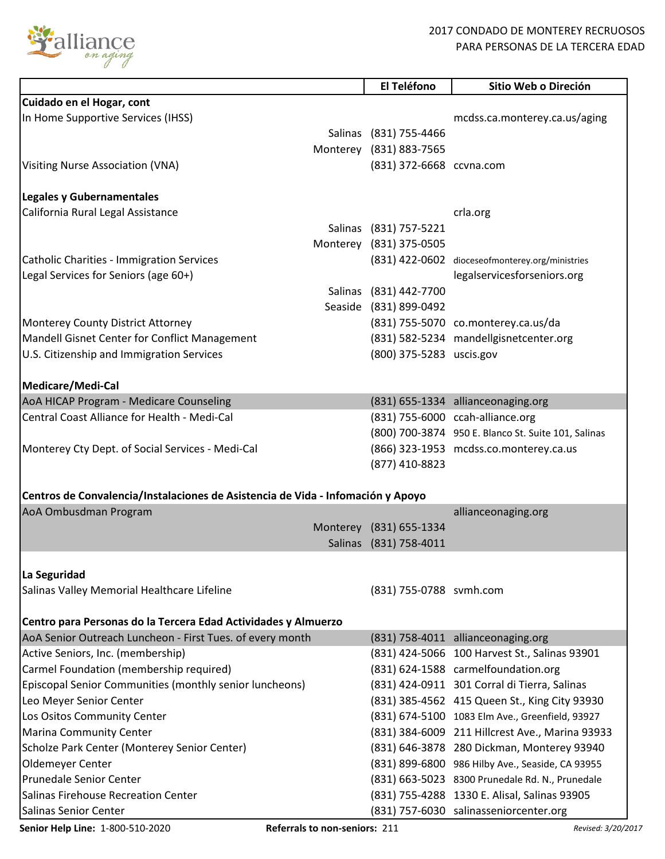

## 2017 CONDADO DE MONTEREY RECRUOSOS PARA PERSONAS DE LA TERCERA EDAD

|                                                                                                                                                                                                                                                                                                                                                                                                                                                                                                                                                                                                  | El Teléfono                                                                  | Sitio Web o Direción                                                                                                                                                                                                                                                                                                                                                                                                                                                                                                                                                             |
|--------------------------------------------------------------------------------------------------------------------------------------------------------------------------------------------------------------------------------------------------------------------------------------------------------------------------------------------------------------------------------------------------------------------------------------------------------------------------------------------------------------------------------------------------------------------------------------------------|------------------------------------------------------------------------------|----------------------------------------------------------------------------------------------------------------------------------------------------------------------------------------------------------------------------------------------------------------------------------------------------------------------------------------------------------------------------------------------------------------------------------------------------------------------------------------------------------------------------------------------------------------------------------|
| Cuidado en el Hogar, cont                                                                                                                                                                                                                                                                                                                                                                                                                                                                                                                                                                        |                                                                              |                                                                                                                                                                                                                                                                                                                                                                                                                                                                                                                                                                                  |
| In Home Supportive Services (IHSS)                                                                                                                                                                                                                                                                                                                                                                                                                                                                                                                                                               |                                                                              | mcdss.ca.monterey.ca.us/aging                                                                                                                                                                                                                                                                                                                                                                                                                                                                                                                                                    |
|                                                                                                                                                                                                                                                                                                                                                                                                                                                                                                                                                                                                  | Salinas (831) 755-4466                                                       |                                                                                                                                                                                                                                                                                                                                                                                                                                                                                                                                                                                  |
|                                                                                                                                                                                                                                                                                                                                                                                                                                                                                                                                                                                                  | Monterey (831) 883-7565                                                      |                                                                                                                                                                                                                                                                                                                                                                                                                                                                                                                                                                                  |
| Visiting Nurse Association (VNA)                                                                                                                                                                                                                                                                                                                                                                                                                                                                                                                                                                 | (831) 372-6668 ccvna.com                                                     |                                                                                                                                                                                                                                                                                                                                                                                                                                                                                                                                                                                  |
|                                                                                                                                                                                                                                                                                                                                                                                                                                                                                                                                                                                                  |                                                                              |                                                                                                                                                                                                                                                                                                                                                                                                                                                                                                                                                                                  |
| <b>Legales y Gubernamentales</b>                                                                                                                                                                                                                                                                                                                                                                                                                                                                                                                                                                 |                                                                              |                                                                                                                                                                                                                                                                                                                                                                                                                                                                                                                                                                                  |
| California Rural Legal Assistance                                                                                                                                                                                                                                                                                                                                                                                                                                                                                                                                                                |                                                                              | crla.org                                                                                                                                                                                                                                                                                                                                                                                                                                                                                                                                                                         |
|                                                                                                                                                                                                                                                                                                                                                                                                                                                                                                                                                                                                  | Salinas (831) 757-5221                                                       |                                                                                                                                                                                                                                                                                                                                                                                                                                                                                                                                                                                  |
|                                                                                                                                                                                                                                                                                                                                                                                                                                                                                                                                                                                                  | Monterey (831) 375-0505                                                      |                                                                                                                                                                                                                                                                                                                                                                                                                                                                                                                                                                                  |
| <b>Catholic Charities - Immigration Services</b>                                                                                                                                                                                                                                                                                                                                                                                                                                                                                                                                                 |                                                                              | (831) 422-0602 dioceseofmonterey.org/ministries                                                                                                                                                                                                                                                                                                                                                                                                                                                                                                                                  |
| Legal Services for Seniors (age 60+)                                                                                                                                                                                                                                                                                                                                                                                                                                                                                                                                                             |                                                                              | legalservicesforseniors.org                                                                                                                                                                                                                                                                                                                                                                                                                                                                                                                                                      |
|                                                                                                                                                                                                                                                                                                                                                                                                                                                                                                                                                                                                  | Salinas (831) 442-7700                                                       |                                                                                                                                                                                                                                                                                                                                                                                                                                                                                                                                                                                  |
|                                                                                                                                                                                                                                                                                                                                                                                                                                                                                                                                                                                                  | Seaside (831) 899-0492                                                       |                                                                                                                                                                                                                                                                                                                                                                                                                                                                                                                                                                                  |
| Monterey County District Attorney                                                                                                                                                                                                                                                                                                                                                                                                                                                                                                                                                                |                                                                              | (831) 755-5070 co.monterey.ca.us/da                                                                                                                                                                                                                                                                                                                                                                                                                                                                                                                                              |
| Mandell Gisnet Center for Conflict Management                                                                                                                                                                                                                                                                                                                                                                                                                                                                                                                                                    |                                                                              | (831) 582-5234 mandellgisnetcenter.org                                                                                                                                                                                                                                                                                                                                                                                                                                                                                                                                           |
| U.S. Citizenship and Immigration Services                                                                                                                                                                                                                                                                                                                                                                                                                                                                                                                                                        | (800) 375-5283 uscis.gov                                                     |                                                                                                                                                                                                                                                                                                                                                                                                                                                                                                                                                                                  |
|                                                                                                                                                                                                                                                                                                                                                                                                                                                                                                                                                                                                  |                                                                              |                                                                                                                                                                                                                                                                                                                                                                                                                                                                                                                                                                                  |
| Medicare/Medi-Cal                                                                                                                                                                                                                                                                                                                                                                                                                                                                                                                                                                                |                                                                              |                                                                                                                                                                                                                                                                                                                                                                                                                                                                                                                                                                                  |
| AoA HICAP Program - Medicare Counseling                                                                                                                                                                                                                                                                                                                                                                                                                                                                                                                                                          |                                                                              | (831) 655-1334 allianceonaging.org                                                                                                                                                                                                                                                                                                                                                                                                                                                                                                                                               |
| Central Coast Alliance for Health - Medi-Cal                                                                                                                                                                                                                                                                                                                                                                                                                                                                                                                                                     |                                                                              | (831) 755-6000 ccah-alliance.org                                                                                                                                                                                                                                                                                                                                                                                                                                                                                                                                                 |
|                                                                                                                                                                                                                                                                                                                                                                                                                                                                                                                                                                                                  |                                                                              | (800) 700-3874 950 E. Blanco St. Suite 101, Salinas                                                                                                                                                                                                                                                                                                                                                                                                                                                                                                                              |
| Monterey Cty Dept. of Social Services - Medi-Cal                                                                                                                                                                                                                                                                                                                                                                                                                                                                                                                                                 |                                                                              | (866) 323-1953 mcdss.co.monterey.ca.us                                                                                                                                                                                                                                                                                                                                                                                                                                                                                                                                           |
|                                                                                                                                                                                                                                                                                                                                                                                                                                                                                                                                                                                                  | (877) 410-8823                                                               |                                                                                                                                                                                                                                                                                                                                                                                                                                                                                                                                                                                  |
|                                                                                                                                                                                                                                                                                                                                                                                                                                                                                                                                                                                                  |                                                                              |                                                                                                                                                                                                                                                                                                                                                                                                                                                                                                                                                                                  |
| Centros de Convalencia/Instalaciones de Asistencia de Vida - Infomación y Apoyo                                                                                                                                                                                                                                                                                                                                                                                                                                                                                                                  |                                                                              |                                                                                                                                                                                                                                                                                                                                                                                                                                                                                                                                                                                  |
| AoA Ombusdman Program                                                                                                                                                                                                                                                                                                                                                                                                                                                                                                                                                                            |                                                                              | allianceonaging.org                                                                                                                                                                                                                                                                                                                                                                                                                                                                                                                                                              |
|                                                                                                                                                                                                                                                                                                                                                                                                                                                                                                                                                                                                  |                                                                              |                                                                                                                                                                                                                                                                                                                                                                                                                                                                                                                                                                                  |
|                                                                                                                                                                                                                                                                                                                                                                                                                                                                                                                                                                                                  |                                                                              |                                                                                                                                                                                                                                                                                                                                                                                                                                                                                                                                                                                  |
|                                                                                                                                                                                                                                                                                                                                                                                                                                                                                                                                                                                                  |                                                                              |                                                                                                                                                                                                                                                                                                                                                                                                                                                                                                                                                                                  |
|                                                                                                                                                                                                                                                                                                                                                                                                                                                                                                                                                                                                  |                                                                              |                                                                                                                                                                                                                                                                                                                                                                                                                                                                                                                                                                                  |
|                                                                                                                                                                                                                                                                                                                                                                                                                                                                                                                                                                                                  |                                                                              |                                                                                                                                                                                                                                                                                                                                                                                                                                                                                                                                                                                  |
|                                                                                                                                                                                                                                                                                                                                                                                                                                                                                                                                                                                                  |                                                                              |                                                                                                                                                                                                                                                                                                                                                                                                                                                                                                                                                                                  |
|                                                                                                                                                                                                                                                                                                                                                                                                                                                                                                                                                                                                  |                                                                              |                                                                                                                                                                                                                                                                                                                                                                                                                                                                                                                                                                                  |
|                                                                                                                                                                                                                                                                                                                                                                                                                                                                                                                                                                                                  |                                                                              |                                                                                                                                                                                                                                                                                                                                                                                                                                                                                                                                                                                  |
|                                                                                                                                                                                                                                                                                                                                                                                                                                                                                                                                                                                                  |                                                                              |                                                                                                                                                                                                                                                                                                                                                                                                                                                                                                                                                                                  |
|                                                                                                                                                                                                                                                                                                                                                                                                                                                                                                                                                                                                  |                                                                              |                                                                                                                                                                                                                                                                                                                                                                                                                                                                                                                                                                                  |
|                                                                                                                                                                                                                                                                                                                                                                                                                                                                                                                                                                                                  |                                                                              |                                                                                                                                                                                                                                                                                                                                                                                                                                                                                                                                                                                  |
|                                                                                                                                                                                                                                                                                                                                                                                                                                                                                                                                                                                                  |                                                                              |                                                                                                                                                                                                                                                                                                                                                                                                                                                                                                                                                                                  |
|                                                                                                                                                                                                                                                                                                                                                                                                                                                                                                                                                                                                  |                                                                              |                                                                                                                                                                                                                                                                                                                                                                                                                                                                                                                                                                                  |
|                                                                                                                                                                                                                                                                                                                                                                                                                                                                                                                                                                                                  |                                                                              |                                                                                                                                                                                                                                                                                                                                                                                                                                                                                                                                                                                  |
|                                                                                                                                                                                                                                                                                                                                                                                                                                                                                                                                                                                                  |                                                                              |                                                                                                                                                                                                                                                                                                                                                                                                                                                                                                                                                                                  |
|                                                                                                                                                                                                                                                                                                                                                                                                                                                                                                                                                                                                  |                                                                              |                                                                                                                                                                                                                                                                                                                                                                                                                                                                                                                                                                                  |
|                                                                                                                                                                                                                                                                                                                                                                                                                                                                                                                                                                                                  |                                                                              |                                                                                                                                                                                                                                                                                                                                                                                                                                                                                                                                                                                  |
|                                                                                                                                                                                                                                                                                                                                                                                                                                                                                                                                                                                                  |                                                                              |                                                                                                                                                                                                                                                                                                                                                                                                                                                                                                                                                                                  |
|                                                                                                                                                                                                                                                                                                                                                                                                                                                                                                                                                                                                  |                                                                              |                                                                                                                                                                                                                                                                                                                                                                                                                                                                                                                                                                                  |
| La Seguridad<br>Salinas Valley Memorial Healthcare Lifeline<br>Centro para Personas do la Tercera Edad Actividades y Almuerzo<br>AoA Senior Outreach Luncheon - First Tues. of every month<br>Active Seniors, Inc. (membership)<br>Carmel Foundation (membership required)<br>Episcopal Senior Communities (monthly senior luncheons)<br>Leo Meyer Senior Center<br>Los Ositos Community Center<br><b>Marina Community Center</b><br>Scholze Park Center (Monterey Senior Center)<br>Oldemeyer Center<br>Prunedale Senior Center<br>Salinas Firehouse Recreation Center<br>Salinas Senior Center | Monterey (831) 655-1334<br>Salinas (831) 758-4011<br>(831) 755-0788 svmh.com | (831) 758-4011 allianceonaging.org<br>(831) 424-5066 100 Harvest St., Salinas 93901<br>(831) 624-1588 carmelfoundation.org<br>(831) 424-0911 301 Corral di Tierra, Salinas<br>(831) 385-4562 415 Queen St., King City 93930<br>(831) 674-5100 1083 Elm Ave., Greenfield, 93927<br>(831) 384-6009 211 Hillcrest Ave., Marina 93933<br>(831) 646-3878 280 Dickman, Monterey 93940<br>(831) 899-6800 986 Hilby Ave., Seaside, CA 93955<br>(831) 663-5023 8300 Prunedale Rd. N., Prunedale<br>(831) 755-4288 1330 E. Alisal, Salinas 93905<br>(831) 757-6030 salinasseniorcenter.org |

**Senior Help Line:** 1-800-510-2020 **Referrals to non-seniors:** 211 *Revised: 3/20/2017 Revised: 3/20/2017*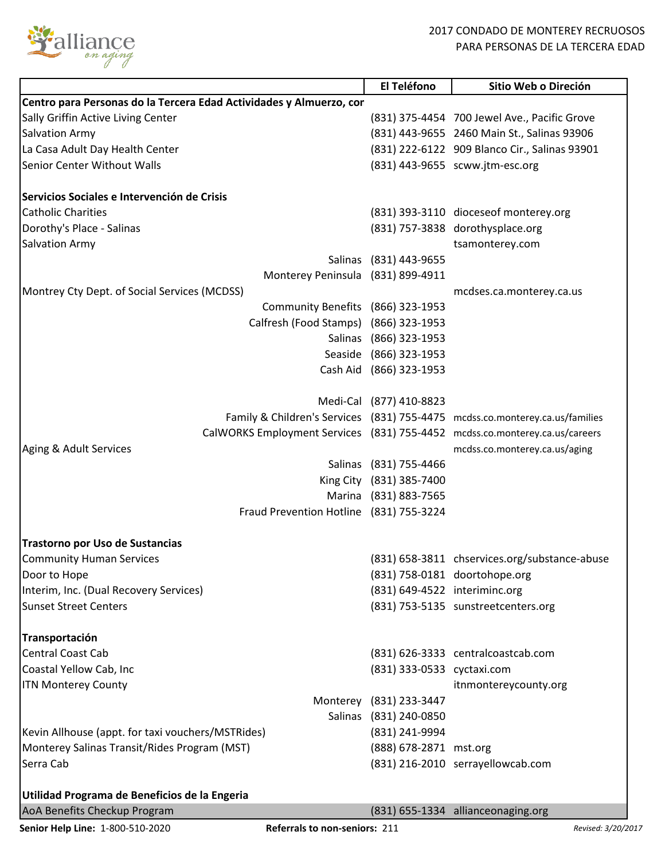

|                                                                             | El Teléfono                   | Sitio Web o Direción                                                         |
|-----------------------------------------------------------------------------|-------------------------------|------------------------------------------------------------------------------|
| Centro para Personas do la Tercera Edad Actividades y Almuerzo, cor         |                               |                                                                              |
| Sally Griffin Active Living Center                                          |                               | (831) 375-4454 700 Jewel Ave., Pacific Grove                                 |
| <b>Salvation Army</b>                                                       |                               | (831) 443-9655 2460 Main St., Salinas 93906                                  |
| La Casa Adult Day Health Center                                             |                               | (831) 222-6122 909 Blanco Cir., Salinas 93901                                |
| <b>Senior Center Without Walls</b>                                          |                               | (831) 443-9655 scww.jtm-esc.org                                              |
|                                                                             |                               |                                                                              |
| Servicios Sociales e Intervención de Crisis                                 |                               |                                                                              |
| <b>Catholic Charities</b>                                                   |                               | (831) 393-3110 dioceseof monterey.org                                        |
|                                                                             |                               |                                                                              |
| Dorothy's Place - Salinas                                                   |                               | (831) 757-3838 dorothysplace.org                                             |
| <b>Salvation Army</b>                                                       |                               | tsamonterey.com                                                              |
|                                                                             | Salinas (831) 443-9655        |                                                                              |
| Monterey Peninsula (831) 899-4911                                           |                               |                                                                              |
| Montrey Cty Dept. of Social Services (MCDSS)                                |                               | mcdses.ca.monterey.ca.us                                                     |
| Community Benefits (866) 323-1953                                           |                               |                                                                              |
| Calfresh (Food Stamps) (866) 323-1953                                       |                               |                                                                              |
|                                                                             | Salinas (866) 323-1953        |                                                                              |
|                                                                             | Seaside (866) 323-1953        |                                                                              |
|                                                                             | Cash Aid (866) 323-1953       |                                                                              |
|                                                                             |                               |                                                                              |
|                                                                             | Medi-Cal (877) 410-8823       |                                                                              |
|                                                                             |                               | Family & Children's Services (831) 755-4475 mcdss.co.monterey.ca.us/families |
| CalWORKS Employment Services (831) 755-4452 mcdss.co.monterey.ca.us/careers |                               |                                                                              |
| Aging & Adult Services                                                      |                               | mcdss.co.monterey.ca.us/aging                                                |
|                                                                             | Salinas (831) 755-4466        |                                                                              |
|                                                                             | King City (831) 385-7400      |                                                                              |
|                                                                             | Marina (831) 883-7565         |                                                                              |
| Fraud Prevention Hotline (831) 755-3224                                     |                               |                                                                              |
|                                                                             |                               |                                                                              |
| Trastorno por Uso de Sustancias                                             |                               |                                                                              |
| <b>Community Human Services</b>                                             |                               | (831) 658-3811 chservices.org/substance-abuse                                |
| Door to Hope                                                                |                               | (831) 758-0181 doortohope.org                                                |
| Interim, Inc. (Dual Recovery Services)                                      | (831) 649-4522 interiminc.org |                                                                              |
| <b>Sunset Street Centers</b>                                                |                               | (831) 753-5135 sunstreetcenters.org                                          |
|                                                                             |                               |                                                                              |
| <b>Transportación</b>                                                       |                               |                                                                              |
| Central Coast Cab                                                           |                               | (831) 626-3333 centralcoastcab.com                                           |
| Coastal Yellow Cab, Inc                                                     | (831) 333-0533 cyctaxi.com    |                                                                              |
|                                                                             |                               |                                                                              |
| <b>ITN Monterey County</b>                                                  |                               | itnmontereycounty.org                                                        |
|                                                                             | Monterey (831) 233-3447       |                                                                              |
|                                                                             | Salinas (831) 240-0850        |                                                                              |
| Kevin Allhouse (appt. for taxi vouchers/MSTRides)                           | (831) 241-9994                |                                                                              |
| Monterey Salinas Transit/Rides Program (MST)                                | (888) 678-2871 mst.org        |                                                                              |
| Serra Cab                                                                   |                               | (831) 216-2010 serrayellowcab.com                                            |
|                                                                             |                               |                                                                              |
| Utilidad Programa de Beneficios de la Engeria                               |                               |                                                                              |
| AoA Benefits Checkup Program                                                |                               | (831) 655-1334 allianceonaging.org                                           |